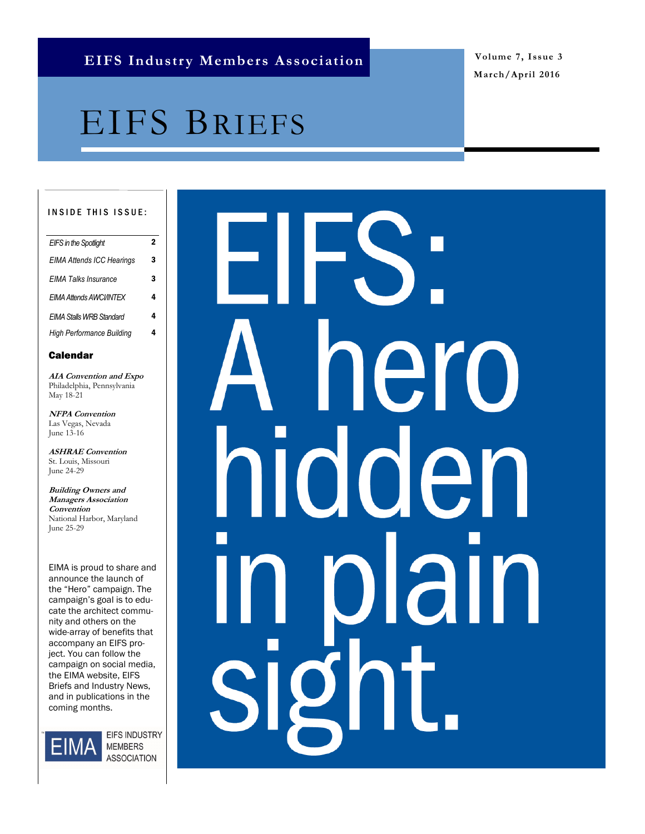**March/April 2016**

# EIFS BRIEFS

### INSIDE THIS ISSUE:

| <b>EIFS in the Spotlight</b>     |   |
|----------------------------------|---|
| <b>EIMA Attends ICC Hearings</b> | 3 |
| FIMA Talks Insurance             | 3 |
| <b>EIMA Attends AWCI/INTFX</b>   | 4 |
| FIMA Stalls WRB Standard         | 4 |
| High Performance Building        |   |
|                                  |   |

### Calendar

**AIA Convention and Expo** Philadelphia, Pennsylvania May 18-21

**NFPA Convention** Las Vegas, Nevada June 13-16

**ASHRAE Convention** St. Louis, Missouri June 24-29

**Building Owners and Managers Association Convention** National Harbor, Maryland June 25-29

EIMA is proud to share and announce the launch of the "Hero" campaign. The campaign's goal is to educate the architect community and others on the wide-array of benefits that accompany an EIFS project. You can follow the campaign on social media, the EIMA website, EIFS Briefs and Industry News, and in publications in the coming months.



EIFS INDUSTRY **MEMBERS ASSOCIATION** 

# ero I den al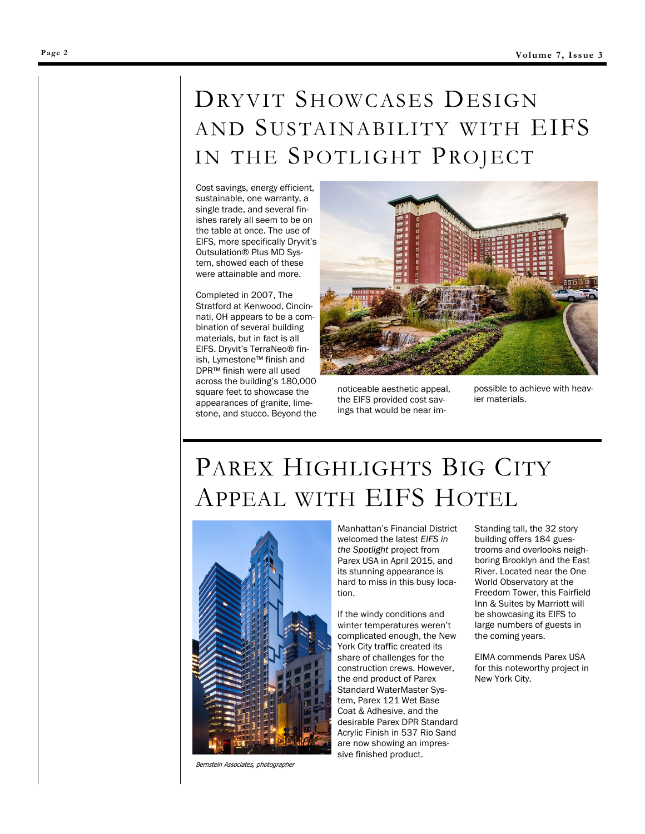### DRYVIT SHOWCASES DESIGN AND SUSTAINABILITY WITH EIFS IN THE SPOTLIGHT PROJECT

Cost savings, energy efficient, sustainable, one warranty, a single trade, and several finishes rarely all seem to be on the table at once. The use of EIFS, more specifically Dryvit's Outsulation® Plus MD System, showed each of these were attainable and more.

Completed in 2007, The Stratford at Kenwood, Cincinnati, OH appears to be a combination of several building materials, but in fact is all EIFS. Dryvit's TerraNeo® finish, Lymestone™ finish and DPR™ finish were all used across the building's 180,000 square feet to showcase the appearances of granite, limestone, and stucco. Beyond the



noticeable aesthetic appeal, the EIFS provided cost savings that would be near im-

possible to achieve with heavier materials.

## PAREX HIGHLIGHTS BIG CITY APPEAL WITH EIFS HOTEL



Bernstein Associates, photographer

Manhattan's Financial District welcomed the latest *EIFS in the Spotlight* project from Parex USA in April 2015, and its stunning appearance is hard to miss in this busy location.

If the windy conditions and winter temperatures weren't complicated enough, the New York City traffic created its share of challenges for the construction crews. However, the end product of Parex Standard WaterMaster System, Parex 121 Wet Base Coat & Adhesive, and the desirable Parex DPR Standard Acrylic Finish in 537 Rio Sand are now showing an impressive finished product.

Standing tall, the 32 story building offers 184 guestrooms and overlooks neighboring Brooklyn and the East River. Located near the One World Observatory at the Freedom Tower, this Fairfield Inn & Suites by Marriott will be showcasing its EIFS to large numbers of guests in the coming years.

EIMA commends Parex USA for this noteworthy project in New York City.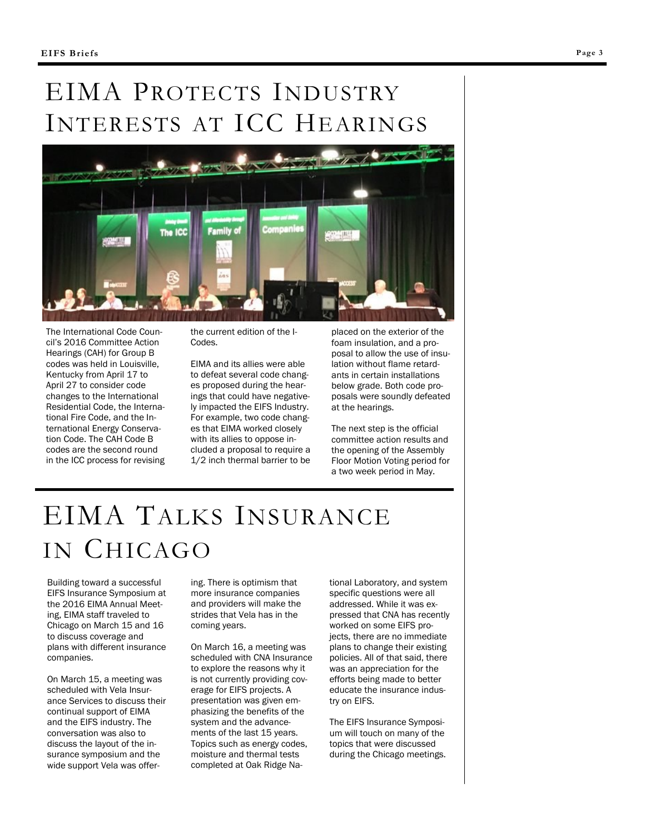## EIMA PROTECTS INDUSTRY INTERESTS AT ICC HEARINGS



The International Code Council's 2016 Committee Action Hearings (CAH) for Group B codes was held in Louisville, Kentucky from April 17 to April 27 to consider code changes to the International Residential Code, the International Fire Code, and the International Energy Conservation Code. The CAH Code B codes are the second round in the ICC process for revising the current edition of the I-Codes.

EIMA and its allies were able to defeat several code changes proposed during the hearings that could have negatively impacted the EIFS Industry. For example, two code changes that EIMA worked closely with its allies to oppose included a proposal to require a 1/2 inch thermal barrier to be placed on the exterior of the foam insulation, and a proposal to allow the use of insulation without flame retardants in certain installations below grade. Both code proposals were soundly defeated at the hearings.

The next step is the official committee action results and the opening of the Assembly Floor Motion Voting period for a two week period in May.

# EIMA TALKS INSURANCE IN CHICAGO

Building toward a successful EIFS Insurance Symposium at the 2016 EIMA Annual Meeting, EIMA staff traveled to Chicago on March 15 and 16 to discuss coverage and plans with different insurance companies.

On March 15, a meeting was scheduled with Vela Insurance Services to discuss their continual support of EIMA and the EIFS industry. The conversation was also to discuss the layout of the insurance symposium and the wide support Vela was offering. There is optimism that more insurance companies and providers will make the strides that Vela has in the coming years.

On March 16, a meeting was scheduled with CNA Insurance to explore the reasons why it is not currently providing coverage for EIFS projects. A presentation was given emphasizing the benefits of the system and the advancements of the last 15 years. Topics such as energy codes, moisture and thermal tests completed at Oak Ridge National Laboratory, and system specific questions were all addressed. While it was expressed that CNA has recently worked on some EIFS projects, there are no immediate plans to change their existing policies. All of that said, there was an appreciation for the efforts being made to better educate the insurance industry on EIFS.

The EIFS Insurance Symposium will touch on many of the topics that were discussed during the Chicago meetings.